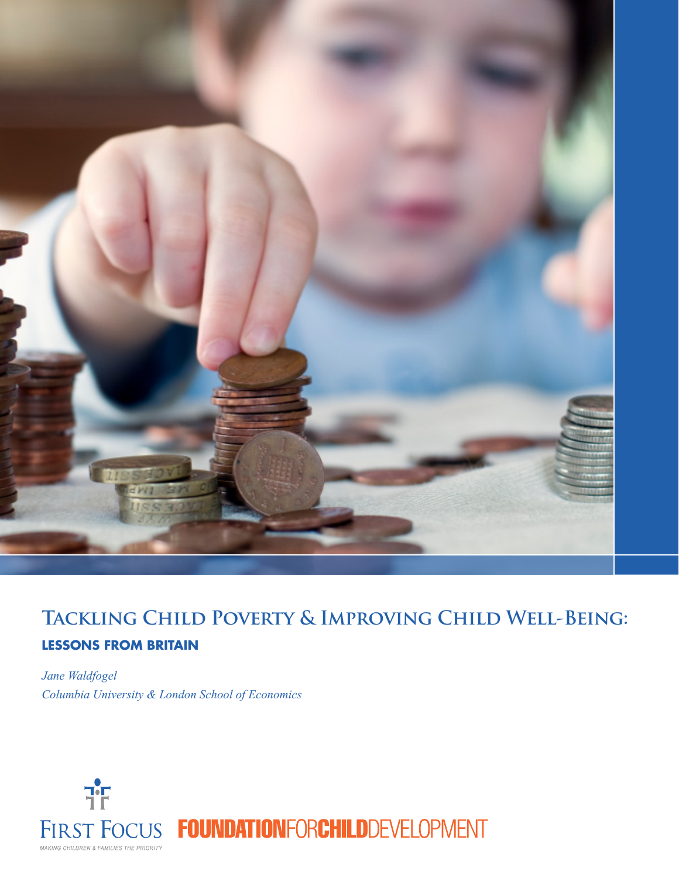

# **Tackling Child Poverty & Improving Child Well-Being:**

# **Lessons from Britain**

*Jane Waldfogel Columbia University & London School of Economics*

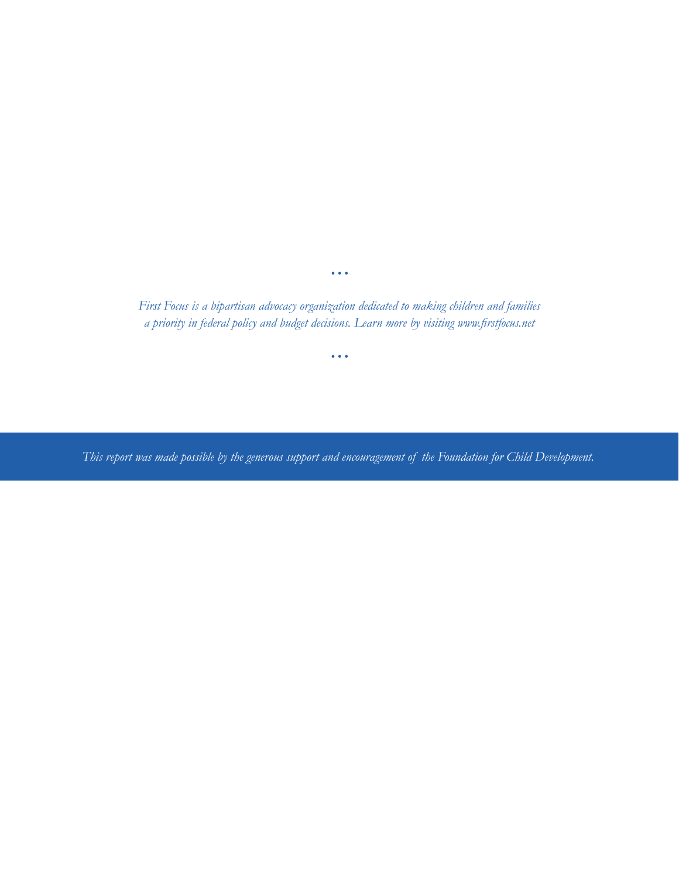*First Focus is a bipartisan advocacy organization dedicated to making children and families a priority in federal policy and budget decisions. Learn more by visiting www.firstfocus.net*

*• • •*

*• • •*

*This report was made possible by the generous support and encouragement of the Foundation for Child Development.*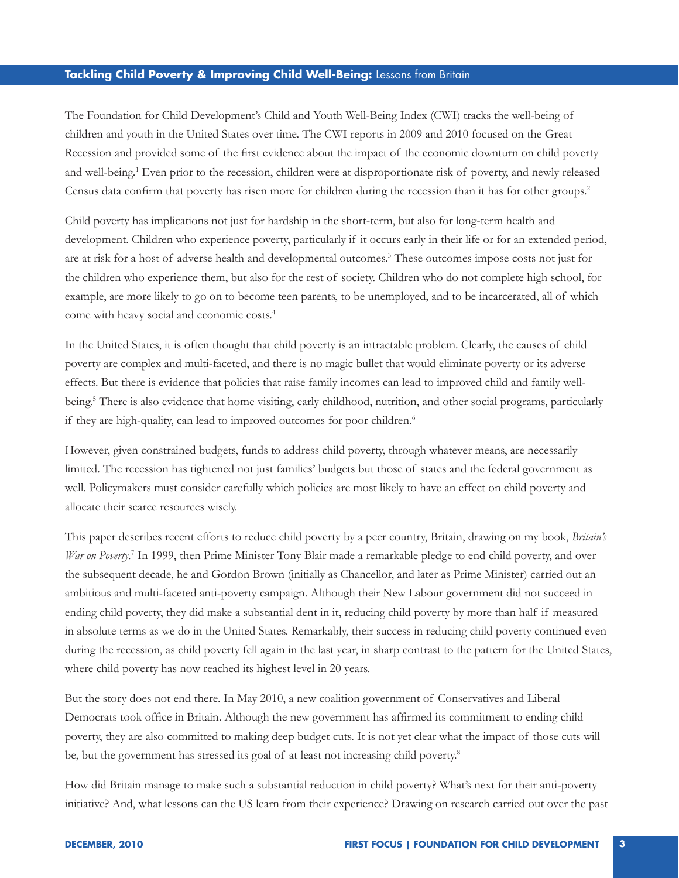The Foundation for Child Development's Child and Youth Well-Being Index (CWI) tracks the well-being of children and youth in the United States over time. The CWI reports in 2009 and 2010 focused on the Great Recession and provided some of the first evidence about the impact of the economic downturn on child poverty and well-being.<sup>1</sup> Even prior to the recession, children were at disproportionate risk of poverty, and newly released Census data confirm that poverty has risen more for children during the recession than it has for other groups.<sup>2</sup>

Child poverty has implications not just for hardship in the short-term, but also for long-term health and development. Children who experience poverty, particularly if it occurs early in their life or for an extended period, are at risk for a host of adverse health and developmental outcomes.<sup>3</sup> These outcomes impose costs not just for the children who experience them, but also for the rest of society. Children who do not complete high school, for example, are more likely to go on to become teen parents, to be unemployed, and to be incarcerated, all of which come with heavy social and economic costs.4

In the United States, it is often thought that child poverty is an intractable problem. Clearly, the causes of child poverty are complex and multi-faceted, and there is no magic bullet that would eliminate poverty or its adverse effects. But there is evidence that policies that raise family incomes can lead to improved child and family wellbeing.<sup>5</sup> There is also evidence that home visiting, early childhood, nutrition, and other social programs, particularly if they are high-quality, can lead to improved outcomes for poor children.<sup>6</sup>

However, given constrained budgets, funds to address child poverty, through whatever means, are necessarily limited. The recession has tightened not just families' budgets but those of states and the federal government as well. Policymakers must consider carefully which policies are most likely to have an effect on child poverty and allocate their scarce resources wisely.

This paper describes recent efforts to reduce child poverty by a peer country, Britain, drawing on my book, *Britain's*  War on Poverty.<sup>7</sup> In 1999, then Prime Minister Tony Blair made a remarkable pledge to end child poverty, and over the subsequent decade, he and Gordon Brown (initially as Chancellor, and later as Prime Minister) carried out an ambitious and multi-faceted anti-poverty campaign. Although their New Labour government did not succeed in ending child poverty, they did make a substantial dent in it, reducing child poverty by more than half if measured in absolute terms as we do in the United States. Remarkably, their success in reducing child poverty continued even during the recession, as child poverty fell again in the last year, in sharp contrast to the pattern for the United States, where child poverty has now reached its highest level in 20 years.

But the story does not end there. In May 2010, a new coalition government of Conservatives and Liberal Democrats took office in Britain. Although the new government has affirmed its commitment to ending child poverty, they are also committed to making deep budget cuts. It is not yet clear what the impact of those cuts will be, but the government has stressed its goal of at least not increasing child poverty.<sup>8</sup>

How did Britain manage to make such a substantial reduction in child poverty? What's next for their anti-poverty initiative? And, what lessons can the US learn from their experience? Drawing on research carried out over the past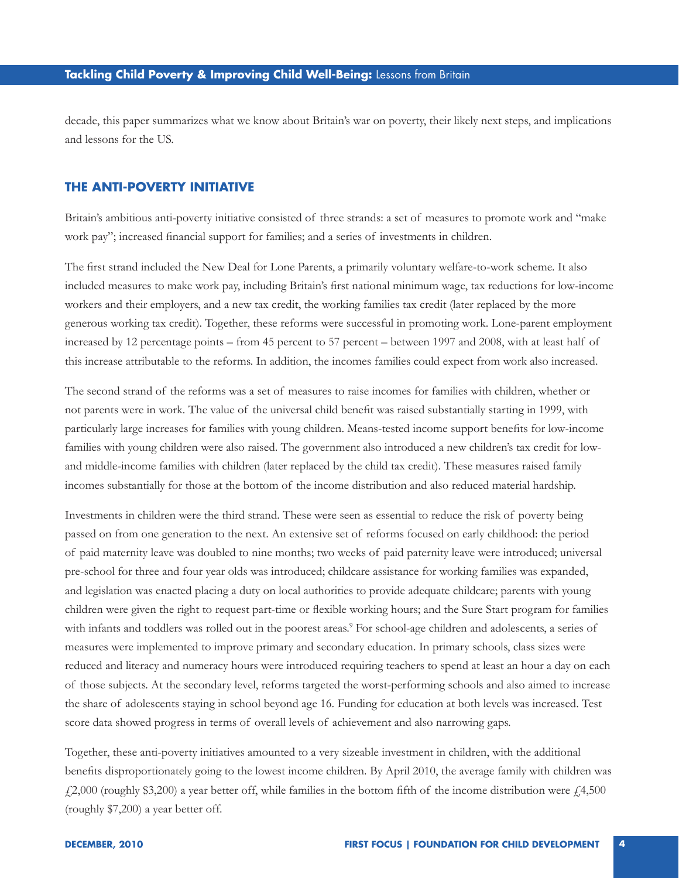decade, this paper summarizes what we know about Britain's war on poverty, their likely next steps, and implications and lessons for the US.

### **The anti-poverty initiative**

Britain's ambitious anti-poverty initiative consisted of three strands: a set of measures to promote work and "make work pay"; increased financial support for families; and a series of investments in children.

The first strand included the New Deal for Lone Parents, a primarily voluntary welfare-to-work scheme. It also included measures to make work pay, including Britain's first national minimum wage, tax reductions for low-income workers and their employers, and a new tax credit, the working families tax credit (later replaced by the more generous working tax credit). Together, these reforms were successful in promoting work. Lone-parent employment increased by 12 percentage points – from 45 percent to 57 percent – between 1997 and 2008, with at least half of this increase attributable to the reforms. In addition, the incomes families could expect from work also increased.

The second strand of the reforms was a set of measures to raise incomes for families with children, whether or not parents were in work. The value of the universal child benefit was raised substantially starting in 1999, with particularly large increases for families with young children. Means-tested income support benefits for low-income families with young children were also raised. The government also introduced a new children's tax credit for lowand middle-income families with children (later replaced by the child tax credit). These measures raised family incomes substantially for those at the bottom of the income distribution and also reduced material hardship.

Investments in children were the third strand. These were seen as essential to reduce the risk of poverty being passed on from one generation to the next. An extensive set of reforms focused on early childhood: the period of paid maternity leave was doubled to nine months; two weeks of paid paternity leave were introduced; universal pre-school for three and four year olds was introduced; childcare assistance for working families was expanded, and legislation was enacted placing a duty on local authorities to provide adequate childcare; parents with young children were given the right to request part-time or flexible working hours; and the Sure Start program for families with infants and toddlers was rolled out in the poorest areas.<sup>9</sup> For school-age children and adolescents, a series of measures were implemented to improve primary and secondary education. In primary schools, class sizes were reduced and literacy and numeracy hours were introduced requiring teachers to spend at least an hour a day on each of those subjects. At the secondary level, reforms targeted the worst-performing schools and also aimed to increase the share of adolescents staying in school beyond age 16. Funding for education at both levels was increased. Test score data showed progress in terms of overall levels of achievement and also narrowing gaps.

Together, these anti-poverty initiatives amounted to a very sizeable investment in children, with the additional benefits disproportionately going to the lowest income children. By April 2010, the average family with children was  $f(2,000)$  (roughly \$3,200) a year better off, while families in the bottom fifth of the income distribution were  $f(4,500)$ (roughly \$7,200) a year better off.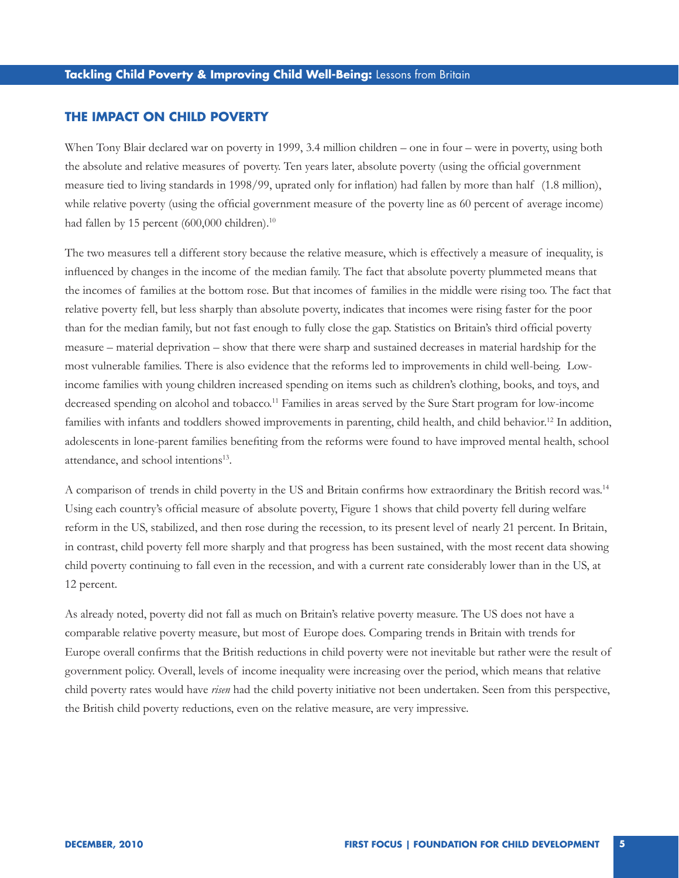## **The impact on child poverty**

When Tony Blair declared war on poverty in 1999, 3.4 million children – one in four – were in poverty, using both the absolute and relative measures of poverty. Ten years later, absolute poverty (using the official government measure tied to living standards in 1998/99, uprated only for inflation) had fallen by more than half (1.8 million), while relative poverty (using the official government measure of the poverty line as 60 percent of average income) had fallen by 15 percent (600,000 children).<sup>10</sup>

The two measures tell a different story because the relative measure, which is effectively a measure of inequality, is influenced by changes in the income of the median family. The fact that absolute poverty plummeted means that the incomes of families at the bottom rose. But that incomes of families in the middle were rising too. The fact that relative poverty fell, but less sharply than absolute poverty, indicates that incomes were rising faster for the poor than for the median family, but not fast enough to fully close the gap. Statistics on Britain's third official poverty measure – material deprivation – show that there were sharp and sustained decreases in material hardship for the most vulnerable families. There is also evidence that the reforms led to improvements in child well-being. Lowincome families with young children increased spending on items such as children's clothing, books, and toys, and decreased spending on alcohol and tobacco.<sup>11</sup> Families in areas served by the Sure Start program for low-income families with infants and toddlers showed improvements in parenting, child health, and child behavior.<sup>12</sup> In addition, adolescents in lone-parent families benefiting from the reforms were found to have improved mental health, school attendance, and school intentions<sup>13</sup>.

A comparison of trends in child poverty in the US and Britain confirms how extraordinary the British record was.<sup>14</sup> Using each country's official measure of absolute poverty, Figure 1 shows that child poverty fell during welfare reform in the US, stabilized, and then rose during the recession, to its present level of nearly 21 percent. In Britain, in contrast, child poverty fell more sharply and that progress has been sustained, with the most recent data showing child poverty continuing to fall even in the recession, and with a current rate considerably lower than in the US, at 12 percent.

As already noted, poverty did not fall as much on Britain's relative poverty measure. The US does not have a comparable relative poverty measure, but most of Europe does. Comparing trends in Britain with trends for Europe overall confirms that the British reductions in child poverty were not inevitable but rather were the result of government policy. Overall, levels of income inequality were increasing over the period, which means that relative child poverty rates would have *risen* had the child poverty initiative not been undertaken. Seen from this perspective, the British child poverty reductions, even on the relative measure, are very impressive.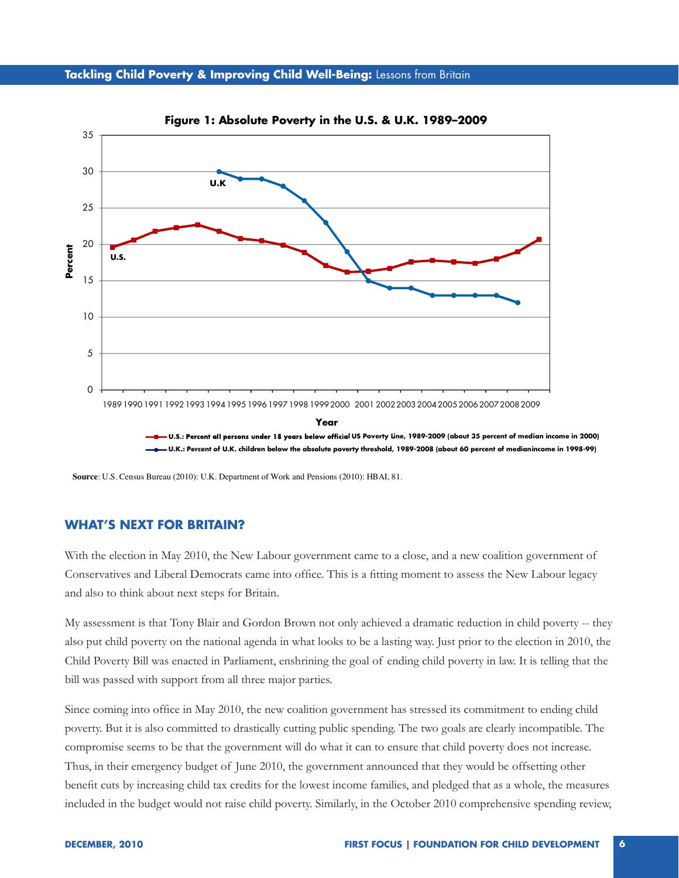

**figure 1: absolute poverty in the u.s. & u.K. 1989–2009**

## **What's next for Britain?**

With the election in May 2010, the New Labour government came to a close, and a new coalition government of Conservatives and Liberal Democrats came into office. This is a fitting moment to assess the New Labour legacy and also to think about next steps for Britain.

U.S.: Percent all persons under 18 years below official US Poverty Line, 1989-2009 (about 35 percent of median income in 2000) **u.K.: percent of u.K. children below the absolute poverty threshold, 1989-2008 (about 60 percent of median income in 1998-99)**

My assessment is that Tony Blair and Gordon Brown not only achieved a dramatic reduction in child poverty -- they also put child poverty on the national agenda in what looks to be a lasting way. Just prior to the election in 2010, the Child Poverty Bill was enacted in Parliament, enshrining the goal of ending child poverty in law. It is telling that the bill was passed with support from all three major parties.

Since coming into office in May 2010, the new coalition government has stressed its commitment to ending child poverty. But it is also committed to drastically cutting public spending. The two goals are clearly incompatible. The compromise seems to be that the government will do what it can to ensure that child poverty does not increase. Thus, in their emergency budget of June 2010, the government announced that they would be offsetting other benefit cuts by increasing child tax credits for the lowest income families, and pledged that as a whole, the measures included in the budget would not raise child poverty. Similarly, in the October 2010 comprehensive spending review,

**Source**: U.S. Census Bureau (2010): U.K. Department of Work and Pensions (2010): HBAI, 81.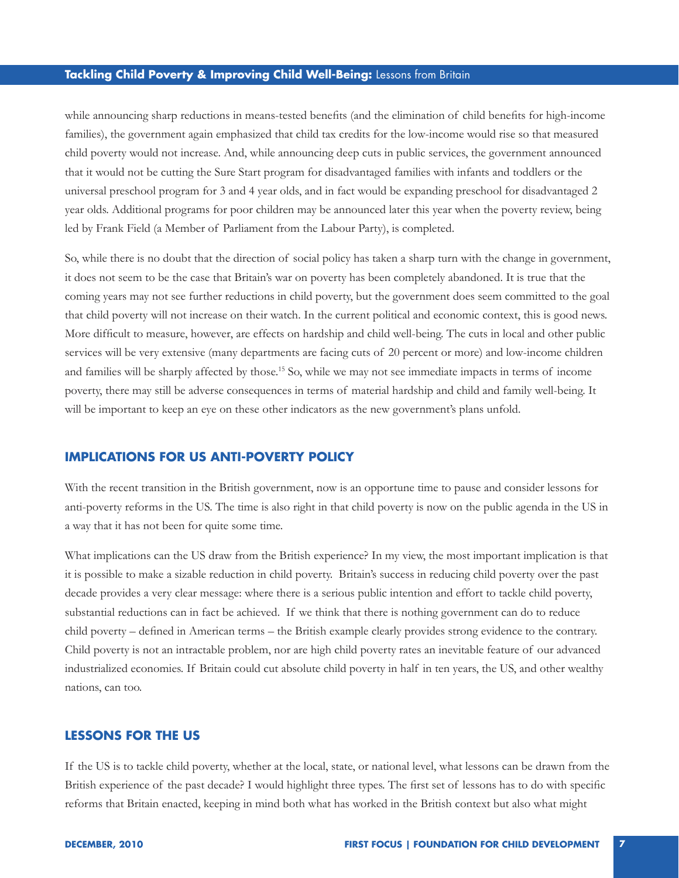while announcing sharp reductions in means-tested benefits (and the elimination of child benefits for high-income families), the government again emphasized that child tax credits for the low-income would rise so that measured child poverty would not increase. And, while announcing deep cuts in public services, the government announced that it would not be cutting the Sure Start program for disadvantaged families with infants and toddlers or the universal preschool program for 3 and 4 year olds, and in fact would be expanding preschool for disadvantaged 2 year olds. Additional programs for poor children may be announced later this year when the poverty review, being led by Frank Field (a Member of Parliament from the Labour Party), is completed.

So, while there is no doubt that the direction of social policy has taken a sharp turn with the change in government, it does not seem to be the case that Britain's war on poverty has been completely abandoned. It is true that the coming years may not see further reductions in child poverty, but the government does seem committed to the goal that child poverty will not increase on their watch. In the current political and economic context, this is good news. More difficult to measure, however, are effects on hardship and child well-being. The cuts in local and other public services will be very extensive (many departments are facing cuts of 20 percent or more) and low-income children and families will be sharply affected by those.15 So, while we may not see immediate impacts in terms of income poverty, there may still be adverse consequences in terms of material hardship and child and family well-being. It will be important to keep an eye on these other indicators as the new government's plans unfold.

## **Implications for US anti-poverty policy**

With the recent transition in the British government, now is an opportune time to pause and consider lessons for anti-poverty reforms in the US. The time is also right in that child poverty is now on the public agenda in the US in a way that it has not been for quite some time.

What implications can the US draw from the British experience? In my view, the most important implication is that it is possible to make a sizable reduction in child poverty. Britain's success in reducing child poverty over the past decade provides a very clear message: where there is a serious public intention and effort to tackle child poverty, substantial reductions can in fact be achieved. If we think that there is nothing government can do to reduce child poverty – defined in American terms – the British example clearly provides strong evidence to the contrary. Child poverty is not an intractable problem, nor are high child poverty rates an inevitable feature of our advanced industrialized economies. If Britain could cut absolute child poverty in half in ten years, the US, and other wealthy nations, can too.

#### **Lessons for the US**

If the US is to tackle child poverty, whether at the local, state, or national level, what lessons can be drawn from the British experience of the past decade? I would highlight three types. The first set of lessons has to do with specific reforms that Britain enacted, keeping in mind both what has worked in the British context but also what might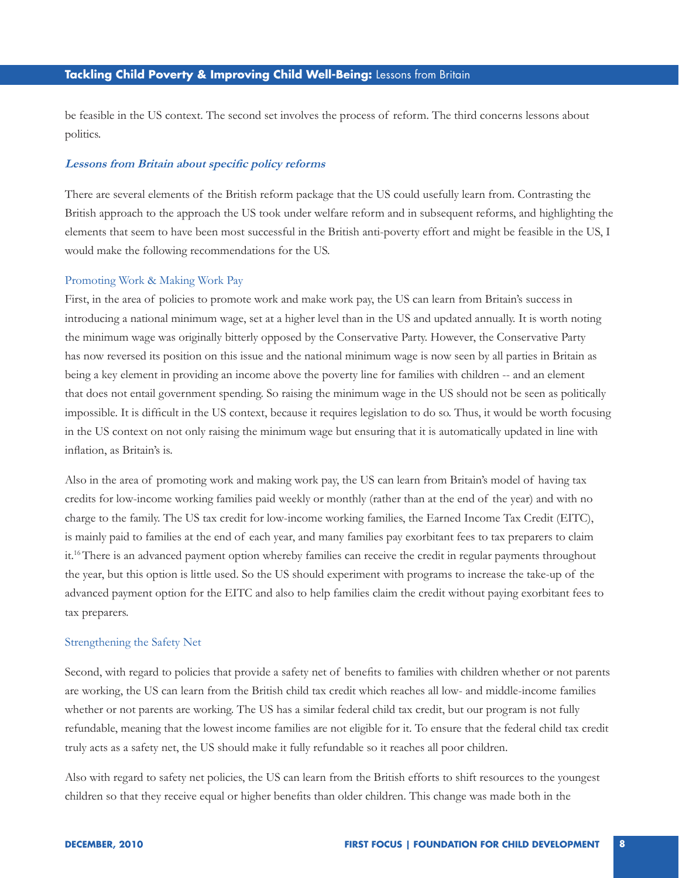be feasible in the US context. The second set involves the process of reform. The third concerns lessons about politics.

#### **Lessons from Britain about specific policy reforms**

There are several elements of the British reform package that the US could usefully learn from. Contrasting the British approach to the approach the US took under welfare reform and in subsequent reforms, and highlighting the elements that seem to have been most successful in the British anti-poverty effort and might be feasible in the US, I would make the following recommendations for the US.

#### Promoting Work & Making Work Pay

First, in the area of policies to promote work and make work pay, the US can learn from Britain's success in introducing a national minimum wage, set at a higher level than in the US and updated annually. It is worth noting the minimum wage was originally bitterly opposed by the Conservative Party. However, the Conservative Party has now reversed its position on this issue and the national minimum wage is now seen by all parties in Britain as being a key element in providing an income above the poverty line for families with children -- and an element that does not entail government spending. So raising the minimum wage in the US should not be seen as politically impossible. It is difficult in the US context, because it requires legislation to do so. Thus, it would be worth focusing in the US context on not only raising the minimum wage but ensuring that it is automatically updated in line with inflation, as Britain's is.

Also in the area of promoting work and making work pay, the US can learn from Britain's model of having tax credits for low-income working families paid weekly or monthly (rather than at the end of the year) and with no charge to the family. The US tax credit for low-income working families, the Earned Income Tax Credit (EITC), is mainly paid to families at the end of each year, and many families pay exorbitant fees to tax preparers to claim it.16 There is an advanced payment option whereby families can receive the credit in regular payments throughout the year, but this option is little used. So the US should experiment with programs to increase the take-up of the advanced payment option for the EITC and also to help families claim the credit without paying exorbitant fees to tax preparers.

#### Strengthening the Safety Net

Second, with regard to policies that provide a safety net of benefits to families with children whether or not parents are working, the US can learn from the British child tax credit which reaches all low- and middle-income families whether or not parents are working. The US has a similar federal child tax credit, but our program is not fully refundable, meaning that the lowest income families are not eligible for it. To ensure that the federal child tax credit truly acts as a safety net, the US should make it fully refundable so it reaches all poor children.

Also with regard to safety net policies, the US can learn from the British efforts to shift resources to the youngest children so that they receive equal or higher benefits than older children. This change was made both in the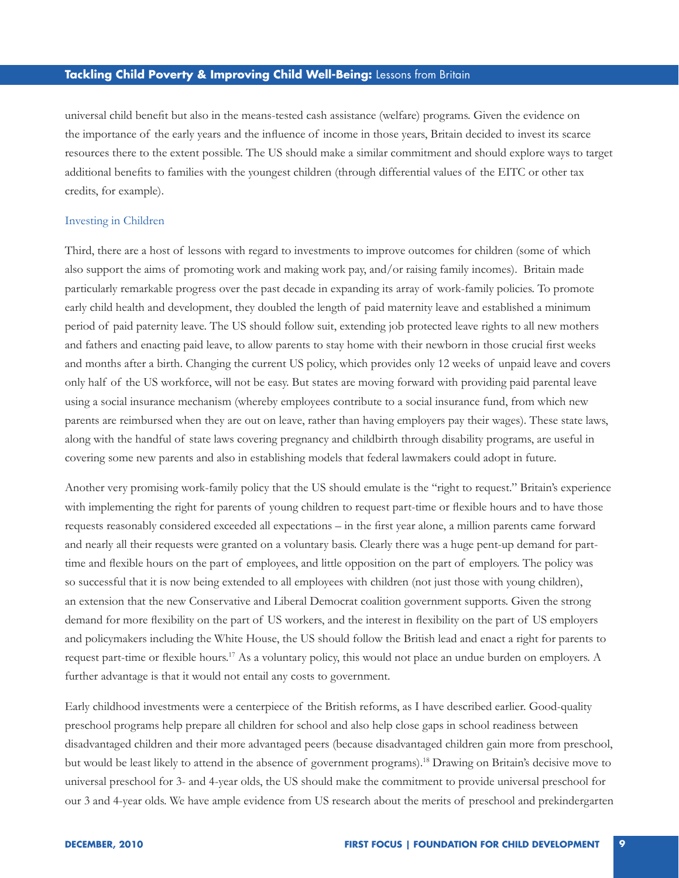universal child benefit but also in the means-tested cash assistance (welfare) programs. Given the evidence on the importance of the early years and the influence of income in those years, Britain decided to invest its scarce resources there to the extent possible. The US should make a similar commitment and should explore ways to target additional benefits to families with the youngest children (through differential values of the EITC or other tax credits, for example).

#### Investing in Children

Third, there are a host of lessons with regard to investments to improve outcomes for children (some of which also support the aims of promoting work and making work pay, and/or raising family incomes). Britain made particularly remarkable progress over the past decade in expanding its array of work-family policies. To promote early child health and development, they doubled the length of paid maternity leave and established a minimum period of paid paternity leave. The US should follow suit, extending job protected leave rights to all new mothers and fathers and enacting paid leave, to allow parents to stay home with their newborn in those crucial first weeks and months after a birth. Changing the current US policy, which provides only 12 weeks of unpaid leave and covers only half of the US workforce, will not be easy. But states are moving forward with providing paid parental leave using a social insurance mechanism (whereby employees contribute to a social insurance fund, from which new parents are reimbursed when they are out on leave, rather than having employers pay their wages). These state laws, along with the handful of state laws covering pregnancy and childbirth through disability programs, are useful in covering some new parents and also in establishing models that federal lawmakers could adopt in future.

Another very promising work-family policy that the US should emulate is the "right to request." Britain's experience with implementing the right for parents of young children to request part-time or flexible hours and to have those requests reasonably considered exceeded all expectations – in the first year alone, a million parents came forward and nearly all their requests were granted on a voluntary basis. Clearly there was a huge pent-up demand for parttime and flexible hours on the part of employees, and little opposition on the part of employers. The policy was so successful that it is now being extended to all employees with children (not just those with young children), an extension that the new Conservative and Liberal Democrat coalition government supports. Given the strong demand for more flexibility on the part of US workers, and the interest in flexibility on the part of US employers and policymakers including the White House, the US should follow the British lead and enact a right for parents to request part-time or flexible hours.<sup>17</sup> As a voluntary policy, this would not place an undue burden on employers. A further advantage is that it would not entail any costs to government.

Early childhood investments were a centerpiece of the British reforms, as I have described earlier. Good-quality preschool programs help prepare all children for school and also help close gaps in school readiness between disadvantaged children and their more advantaged peers (because disadvantaged children gain more from preschool, but would be least likely to attend in the absence of government programs).18 Drawing on Britain's decisive move to universal preschool for 3- and 4-year olds, the US should make the commitment to provide universal preschool for our 3 and 4-year olds. We have ample evidence from US research about the merits of preschool and prekindergarten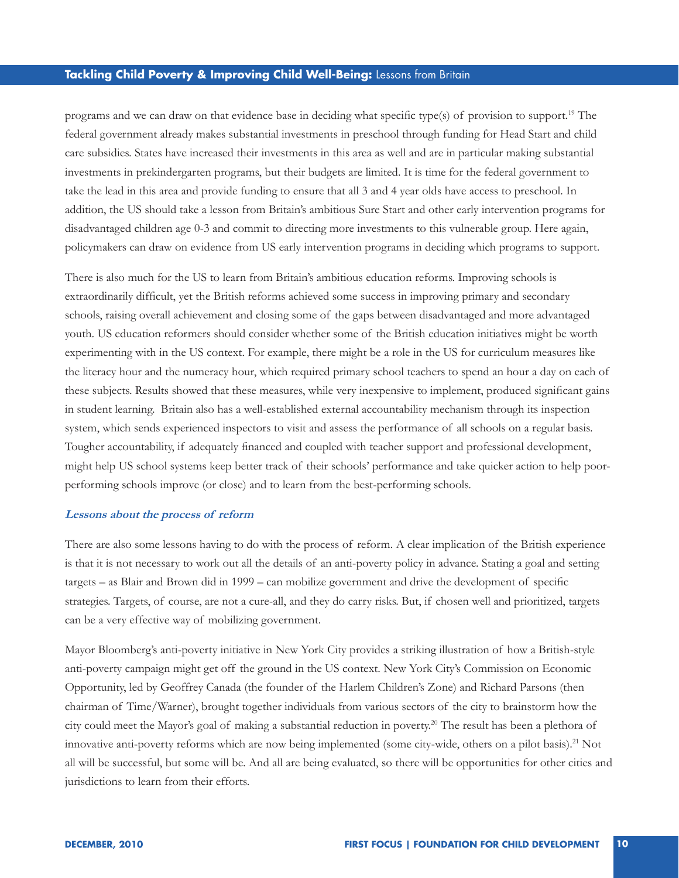programs and we can draw on that evidence base in deciding what specific type(s) of provision to support.<sup>19</sup> The federal government already makes substantial investments in preschool through funding for Head Start and child care subsidies. States have increased their investments in this area as well and are in particular making substantial investments in prekindergarten programs, but their budgets are limited. It is time for the federal government to take the lead in this area and provide funding to ensure that all 3 and 4 year olds have access to preschool. In addition, the US should take a lesson from Britain's ambitious Sure Start and other early intervention programs for disadvantaged children age 0-3 and commit to directing more investments to this vulnerable group. Here again, policymakers can draw on evidence from US early intervention programs in deciding which programs to support.

There is also much for the US to learn from Britain's ambitious education reforms. Improving schools is extraordinarily difficult, yet the British reforms achieved some success in improving primary and secondary schools, raising overall achievement and closing some of the gaps between disadvantaged and more advantaged youth. US education reformers should consider whether some of the British education initiatives might be worth experimenting with in the US context. For example, there might be a role in the US for curriculum measures like the literacy hour and the numeracy hour, which required primary school teachers to spend an hour a day on each of these subjects. Results showed that these measures, while very inexpensive to implement, produced significant gains in student learning. Britain also has a well-established external accountability mechanism through its inspection system, which sends experienced inspectors to visit and assess the performance of all schools on a regular basis. Tougher accountability, if adequately financed and coupled with teacher support and professional development, might help US school systems keep better track of their schools' performance and take quicker action to help poorperforming schools improve (or close) and to learn from the best-performing schools.

#### **Lessons about the process of reform**

There are also some lessons having to do with the process of reform. A clear implication of the British experience is that it is not necessary to work out all the details of an anti-poverty policy in advance. Stating a goal and setting targets – as Blair and Brown did in 1999 – can mobilize government and drive the development of specific strategies. Targets, of course, are not a cure-all, and they do carry risks. But, if chosen well and prioritized, targets can be a very effective way of mobilizing government.

Mayor Bloomberg's anti-poverty initiative in New York City provides a striking illustration of how a British-style anti-poverty campaign might get off the ground in the US context. New York City's Commission on Economic Opportunity, led by Geoffrey Canada (the founder of the Harlem Children's Zone) and Richard Parsons (then chairman of Time/Warner), brought together individuals from various sectors of the city to brainstorm how the city could meet the Mayor's goal of making a substantial reduction in poverty.20 The result has been a plethora of innovative anti-poverty reforms which are now being implemented (some city-wide, others on a pilot basis).<sup>21</sup> Not all will be successful, but some will be. And all are being evaluated, so there will be opportunities for other cities and jurisdictions to learn from their efforts.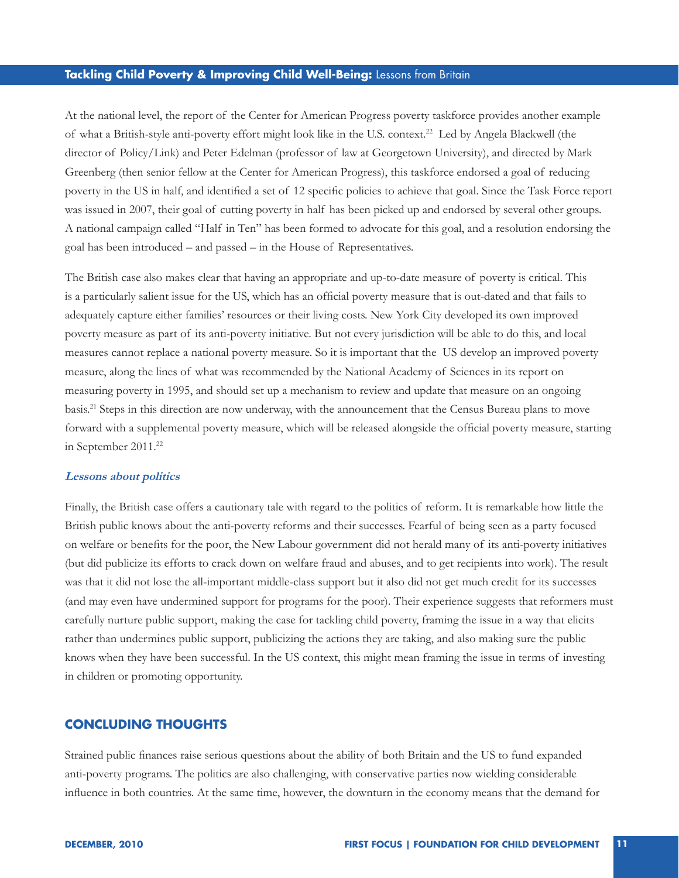At the national level, the report of the Center for American Progress poverty taskforce provides another example of what a British-style anti-poverty effort might look like in the U.S. context.22 Led by Angela Blackwell (the director of Policy/Link) and Peter Edelman (professor of law at Georgetown University), and directed by Mark Greenberg (then senior fellow at the Center for American Progress), this taskforce endorsed a goal of reducing poverty in the US in half, and identified a set of 12 specific policies to achieve that goal. Since the Task Force report was issued in 2007, their goal of cutting poverty in half has been picked up and endorsed by several other groups. A national campaign called "Half in Ten" has been formed to advocate for this goal, and a resolution endorsing the goal has been introduced – and passed – in the House of Representatives.

The British case also makes clear that having an appropriate and up-to-date measure of poverty is critical. This is a particularly salient issue for the US, which has an official poverty measure that is out-dated and that fails to adequately capture either families' resources or their living costs. New York City developed its own improved poverty measure as part of its anti-poverty initiative. But not every jurisdiction will be able to do this, and local measures cannot replace a national poverty measure. So it is important that the US develop an improved poverty measure, along the lines of what was recommended by the National Academy of Sciences in its report on measuring poverty in 1995, and should set up a mechanism to review and update that measure on an ongoing basis.21 Steps in this direction are now underway, with the announcement that the Census Bureau plans to move forward with a supplemental poverty measure, which will be released alongside the official poverty measure, starting in September 2011.22

#### **Lessons about politics**

Finally, the British case offers a cautionary tale with regard to the politics of reform. It is remarkable how little the British public knows about the anti-poverty reforms and their successes. Fearful of being seen as a party focused on welfare or benefits for the poor, the New Labour government did not herald many of its anti-poverty initiatives (but did publicize its efforts to crack down on welfare fraud and abuses, and to get recipients into work). The result was that it did not lose the all-important middle-class support but it also did not get much credit for its successes (and may even have undermined support for programs for the poor). Their experience suggests that reformers must carefully nurture public support, making the case for tackling child poverty, framing the issue in a way that elicits rather than undermines public support, publicizing the actions they are taking, and also making sure the public knows when they have been successful. In the US context, this might mean framing the issue in terms of investing in children or promoting opportunity.

## **Concluding thoughts**

Strained public finances raise serious questions about the ability of both Britain and the US to fund expanded anti-poverty programs. The politics are also challenging, with conservative parties now wielding considerable influence in both countries. At the same time, however, the downturn in the economy means that the demand for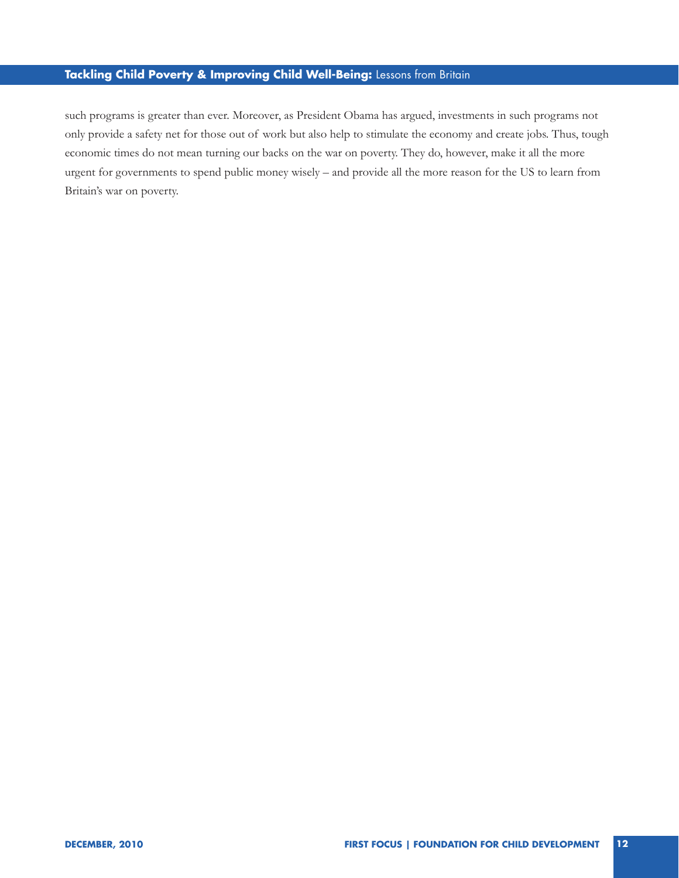such programs is greater than ever. Moreover, as President Obama has argued, investments in such programs not only provide a safety net for those out of work but also help to stimulate the economy and create jobs. Thus, tough economic times do not mean turning our backs on the war on poverty. They do, however, make it all the more urgent for governments to spend public money wisely – and provide all the more reason for the US to learn from Britain's war on poverty.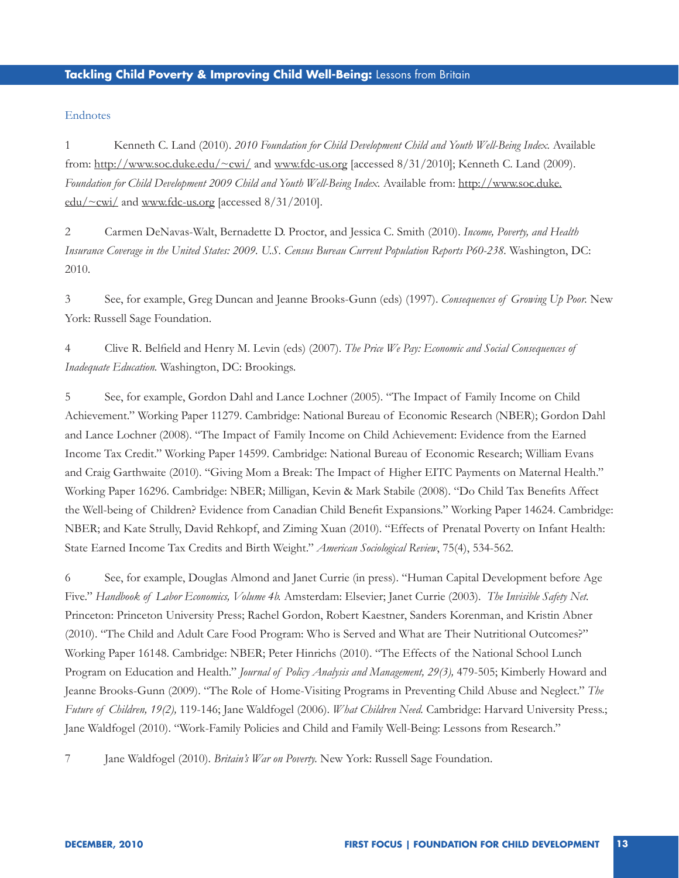#### Endnotes

1 Kenneth C. Land (2010). *2010 Foundation for Child Development Child and Youth Well-Being Index.* Available from: http://www.soc.duke.edu/~cwi/ and www.fdc-us.org [accessed 8/31/2010]; Kenneth C. Land (2009). Foundation for Child Development 2009 Child and Youth Well-Being Index. Available from: http://www.soc.duke.  $\frac{edu/\sim cwi}{a}$  and www.fdc-us.org [accessed 8/31/2010].

2 Carmen DeNavas-Walt, Bernadette D. Proctor, and Jessica C. Smith (2010). *Income, Poverty, and Health Insurance Coverage in the United States: 2009. U.S. Census Bureau Current Population Reports P60-238.* Washington, DC: 2010.

3 See, for example, Greg Duncan and Jeanne Brooks-Gunn (eds) (1997). *Consequences of Growing Up Poor.* New York: Russell Sage Foundation.

4 Clive R. Belfield and Henry M. Levin (eds) (2007). *The Price We Pay: Economic and Social Consequences of Inadequate Education.* Washington, DC: Brookings.

5 See, for example, Gordon Dahl and Lance Lochner (2005). "The Impact of Family Income on Child Achievement." Working Paper 11279. Cambridge: National Bureau of Economic Research (NBER); Gordon Dahl and Lance Lochner (2008). "The Impact of Family Income on Child Achievement: Evidence from the Earned Income Tax Credit." Working Paper 14599. Cambridge: National Bureau of Economic Research; William Evans and Craig Garthwaite (2010). "Giving Mom a Break: The Impact of Higher EITC Payments on Maternal Health." Working Paper 16296. Cambridge: NBER; Milligan, Kevin & Mark Stabile (2008). "Do Child Tax Benefits Affect the Well-being of Children? Evidence from Canadian Child Benefit Expansions." Working Paper 14624. Cambridge: NBER; and Kate Strully, David Rehkopf, and Ziming Xuan (2010). "Effects of Prenatal Poverty on Infant Health: State Earned Income Tax Credits and Birth Weight." *American Sociological Review*, 75(4), 534-562.

6 See, for example, Douglas Almond and Janet Currie (in press). "Human Capital Development before Age Five." *Handbook of Labor Economics, Volume 4b.* Amsterdam: Elsevier; Janet Currie (2003). *The Invisible Safety Net.*  Princeton: Princeton University Press; Rachel Gordon, Robert Kaestner, Sanders Korenman, and Kristin Abner (2010). "The Child and Adult Care Food Program: Who is Served and What are Their Nutritional Outcomes?" Working Paper 16148. Cambridge: NBER; Peter Hinrichs (2010). "The Effects of the National School Lunch Program on Education and Health." *Journal of Policy Analysis and Management, 29(3)*, 479-505; Kimberly Howard and Jeanne Brooks-Gunn (2009). "The Role of Home-Visiting Programs in Preventing Child Abuse and Neglect." *The Future of Children, 19(2),* 119-146; Jane Waldfogel (2006). *What Children Need.* Cambridge: Harvard University Press.; Jane Waldfogel (2010). "Work-Family Policies and Child and Family Well-Being: Lessons from Research."

7 Jane Waldfogel (2010). *Britain's War on Poverty.* New York: Russell Sage Foundation.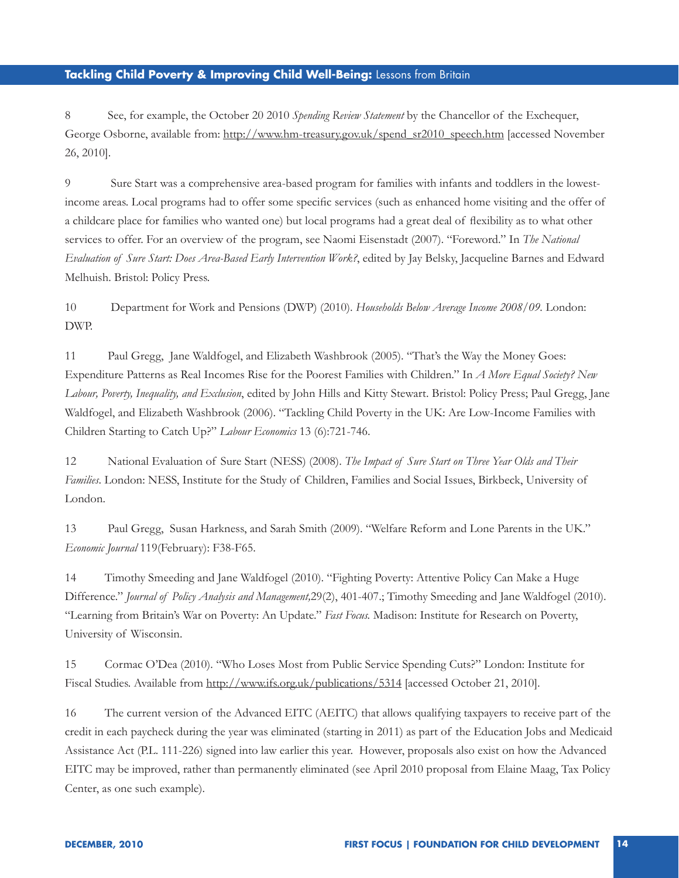8 See, for example, the October 20 2010 *Spending Review Statement* by the Chancellor of the Exchequer, George Osborne, available from: http://www.hm-treasury.gov.uk/spend\_sr2010\_speech.htm [accessed November 26, 2010].

9 Sure Start was a comprehensive area-based program for families with infants and toddlers in the lowestincome areas. Local programs had to offer some specific services (such as enhanced home visiting and the offer of a childcare place for families who wanted one) but local programs had a great deal of flexibility as to what other services to offer. For an overview of the program, see Naomi Eisenstadt (2007). "Foreword." In *The National Evaluation of Sure Start: Does Area-Based Early Intervention Work?*, edited by Jay Belsky, Jacqueline Barnes and Edward Melhuish. Bristol: Policy Press.

10 Department for Work and Pensions (DWP) (2010). *Households Below Average Income 2008/09.* London: DWP.

11 Paul Gregg, Jane Waldfogel, and Elizabeth Washbrook (2005). "That's the Way the Money Goes: Expenditure Patterns as Real Incomes Rise for the Poorest Families with Children." In *A More Equal Society? New Labour, Poverty, Inequality, and Exclusion*, edited by John Hills and Kitty Stewart. Bristol: Policy Press; Paul Gregg, Jane Waldfogel, and Elizabeth Washbrook (2006). "Tackling Child Poverty in the UK: Are Low-Income Families with Children Starting to Catch Up?" *Labour Economics* 13 (6):721-746.

12 National Evaluation of Sure Start (NESS) (2008). *The Impact of Sure Start on Three Year Olds and Their Families*. London: NESS, Institute for the Study of Children, Families and Social Issues, Birkbeck, University of London.

13 Paul Gregg, Susan Harkness, and Sarah Smith (2009). "Welfare Reform and Lone Parents in the UK." *Economic Journal* 119(February): F38-F65.

14 Timothy Smeeding and Jane Waldfogel (2010). "Fighting Poverty: Attentive Policy Can Make a Huge Difference." *Journal of Policy Analysis and Management,*29(2), 401-407.; Timothy Smeeding and Jane Waldfogel (2010). "Learning from Britain's War on Poverty: An Update." *Fast Focus.* Madison: Institute for Research on Poverty, University of Wisconsin.

15 Cormac O'Dea (2010). "Who Loses Most from Public Service Spending Cuts?" London: Institute for Fiscal Studies. Available from http://www.ifs.org.uk/publications/5314 [accessed October 21, 2010].

16 The current version of the Advanced EITC (AEITC) that allows qualifying taxpayers to receive part of the credit in each paycheck during the year was eliminated (starting in 2011) as part of the Education Jobs and Medicaid Assistance Act (P.L. 111-226) signed into law earlier this year. However, proposals also exist on how the Advanced EITC may be improved, rather than permanently eliminated (see April 2010 proposal from Elaine Maag, Tax Policy Center, as one such example).